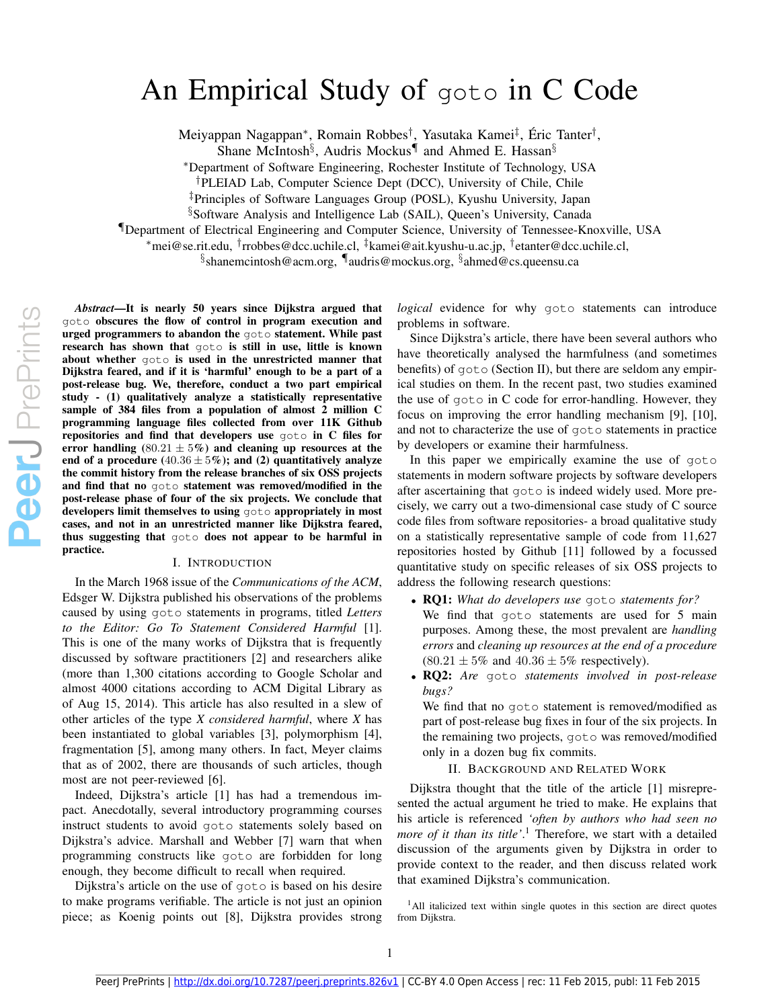# An Empirical Study of goto in C Code

Meiyappan Nagappan\*, Romain Robbes<sup>†</sup>, Yasutaka Kamei<sup>‡</sup>, Éric Tanter<sup>†</sup>,

Shane McIntosh<sup>§</sup>, Audris Mockus<sup>¶</sup> and Ahmed E. Hassan<sup>§</sup>

<sup>∗</sup>Department of Software Engineering, Rochester Institute of Technology, USA

†PLEIAD Lab, Computer Science Dept (DCC), University of Chile, Chile

‡Principles of Software Languages Group (POSL), Kyushu University, Japan

§Software Analysis and Intelligence Lab (SAIL), Queen's University, Canada

¶Department of Electrical Engineering and Computer Science, University of Tennessee-Knoxville, USA

<sup>∗</sup>mei@se.rit.edu, † rrobbes@dcc.uchile.cl, ‡kamei@ait.kyushu-u.ac.jp, † etanter@dcc.uchile.cl,

 $\S$ shanemcintosh@acm.org,  $\P$ audris@mockus.org,  $\S$ ahmed@cs.queensu.ca

*Abstract*—It is nearly 50 years since Dijkstra argued that goto obscures the flow of control in program execution and urged programmers to abandon the goto statement. While past research has shown that goto is still in use, little is known about whether goto is used in the unrestricted manner that Dijkstra feared, and if it is 'harmful' enough to be a part of a post-release bug. We, therefore, conduct a two part empirical study - (1) qualitatively analyze a statistically representative sample of 384 files from a population of almost 2 million C programming language files collected from over 11K Github repositories and find that developers use goto in C files for error handling  $(80.21 \pm 5\%)$  and cleaning up resources at the end of a procedure (40.36  $\pm$  5%); and (2) quantitatively analyze the commit history from the release branches of six OSS projects and find that no goto statement was removed/modified in the post-release phase of four of the six projects. We conclude that developers limit themselves to using goto appropriately in most cases, and not in an unrestricted manner like Dijkstra feared, thus suggesting that goto does not appear to be harmful in practice.

#### I. INTRODUCTION

In the March 1968 issue of the *Communications of the ACM*, Edsger W. Dijkstra published his observations of the problems caused by using goto statements in programs, titled *Letters to the Editor: Go To Statement Considered Harmful* [1]. This is one of the many works of Dijkstra that is frequently discussed by software practitioners [2] and researchers alike (more than 1,300 citations according to Google Scholar and almost 4000 citations according to ACM Digital Library as of Aug 15, 2014). This article has also resulted in a slew of other articles of the type *X considered harmful*, where *X* has been instantiated to global variables [3], polymorphism [4], fragmentation [5], among many others. In fact, Meyer claims that as of 2002, there are thousands of such articles, though most are not peer-reviewed [6].

Indeed, Dijkstra's article [1] has had a tremendous impact. Anecdotally, several introductory programming courses instruct students to avoid goto statements solely based on Dijkstra's advice. Marshall and Webber [7] warn that when programming constructs like goto are forbidden for long enough, they become difficult to recall when required.

Dijkstra's article on the use of goto is based on his desire to make programs verifiable. The article is not just an opinion piece; as Koenig points out [8], Dijkstra provides strong *logical* evidence for why goto statements can introduce problems in software.

Since Dijkstra's article, there have been several authors who have theoretically analysed the harmfulness (and sometimes benefits) of goto (Section II), but there are seldom any empirical studies on them. In the recent past, two studies examined the use of goto in C code for error-handling. However, they focus on improving the error handling mechanism [9], [10], and not to characterize the use of goto statements in practice by developers or examine their harmfulness.

In this paper we empirically examine the use of goto statements in modern software projects by software developers after ascertaining that goto is indeed widely used. More precisely, we carry out a two-dimensional case study of C source code files from software repositories- a broad qualitative study on a statistically representative sample of code from 11,627 repositories hosted by Github [11] followed by a focussed quantitative study on specific releases of six OSS projects to address the following research questions:

- RQ1: *What do developers use* goto *statements for?* We find that goto statements are used for 5 main purposes. Among these, the most prevalent are *handling errors* and *cleaning up resources at the end of a procedure*  $(80.21 \pm 5\%$  and  $40.36 \pm 5\%$  respectively).
- RQ2: *Are* goto *statements involved in post-release bugs?*

We find that no goto statement is removed/modified as part of post-release bug fixes in four of the six projects. In the remaining two projects, goto was removed/modified only in a dozen bug fix commits.

## II. BACKGROUND AND RELATED WORK

Dijkstra thought that the title of the article [1] misrepresented the actual argument he tried to make. He explains that his article is referenced *'often by authors who had seen no more of it than its title'*. <sup>1</sup> Therefore, we start with a detailed discussion of the arguments given by Dijkstra in order to provide context to the reader, and then discuss related work that examined Dijkstra's communication.

<sup>1</sup>All italicized text within single quotes in this section are direct quotes from Dijkstra.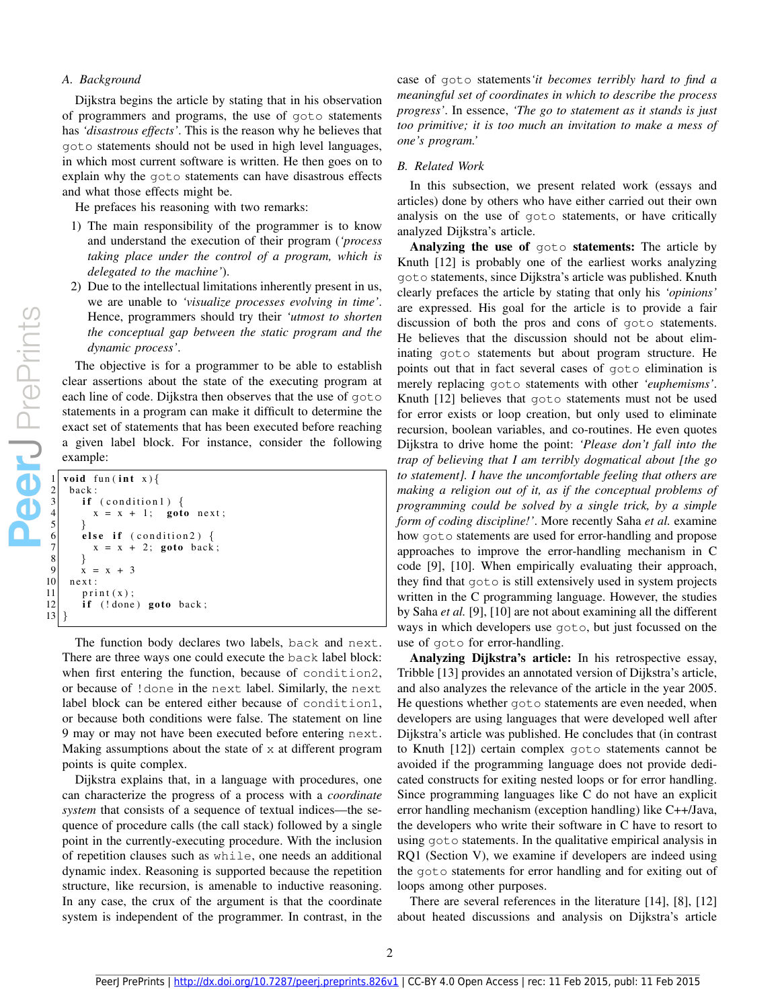#### *A. Background*

Dijkstra begins the article by stating that in his observation of programmers and programs, the use of goto statements has *'disastrous effects'*. This is the reason why he believes that goto statements should not be used in high level languages, in which most current software is written. He then goes on to explain why the goto statements can have disastrous effects and what those effects might be.

He prefaces his reasoning with two remarks:

- 1) The main responsibility of the programmer is to know and understand the execution of their program (*'process taking place under the control of a program, which is delegated to the machine'*).
- 2) Due to the intellectual limitations inherently present in us, we are unable to *'visualize processes evolving in time'*. Hence, programmers should try their *'utmost to shorten the conceptual gap between the static program and the dynamic process'*.

The objective is for a programmer to be able to establish clear assertions about the state of the executing program at each line of code. Dijkstra then observes that the use of goto statements in a program can make it difficult to determine the exact set of statements that has been executed before reaching a given label block. For instance, consider the following example:

|               | <b>void</b> fun(int $x$ ){          |
|---------------|-------------------------------------|
|               |                                     |
| 2             | back:                               |
| 3             | <b>if</b> (condition1) {            |
| 4             | $x = x + 1$ ; goto next;            |
| 5             |                                     |
| $\frac{6}{7}$ | else if $(condition 2)$ {           |
|               | $x = x + 2$ ; goto back;            |
| 8             |                                     |
| 9             | $x = x + 3$                         |
| 10            | next:                               |
| 11            | print(x);                           |
| 12            | <b>if</b> (!done) <b>goto</b> back; |
| 13            |                                     |

The function body declares two labels, back and next. There are three ways one could execute the back label block: when first entering the function, because of condition2, or because of !done in the next label. Similarly, the next label block can be entered either because of condition1, or because both conditions were false. The statement on line 9 may or may not have been executed before entering next. Making assumptions about the state of  $x$  at different program points is quite complex.

Dijkstra explains that, in a language with procedures, one can characterize the progress of a process with a *coordinate system* that consists of a sequence of textual indices—the sequence of procedure calls (the call stack) followed by a single point in the currently-executing procedure. With the inclusion of repetition clauses such as while, one needs an additional dynamic index. Reasoning is supported because the repetition structure, like recursion, is amenable to inductive reasoning. In any case, the crux of the argument is that the coordinate system is independent of the programmer. In contrast, in the

case of goto statements*'it becomes terribly hard to find a meaningful set of coordinates in which to describe the process progress'*. In essence, *'The go to statement as it stands is just too primitive; it is too much an invitation to make a mess of one's program.'*

#### *B. Related Work*

In this subsection, we present related work (essays and articles) done by others who have either carried out their own analysis on the use of goto statements, or have critically analyzed Dijkstra's article.

Analyzing the use of goto statements: The article by Knuth [12] is probably one of the earliest works analyzing goto statements, since Dijkstra's article was published. Knuth clearly prefaces the article by stating that only his *'opinions'* are expressed. His goal for the article is to provide a fair discussion of both the pros and cons of goto statements. He believes that the discussion should not be about eliminating goto statements but about program structure. He points out that in fact several cases of goto elimination is merely replacing goto statements with other *'euphemisms'*. Knuth [12] believes that goto statements must not be used for error exists or loop creation, but only used to eliminate recursion, boolean variables, and co-routines. He even quotes Dijkstra to drive home the point: *'Please don't fall into the trap of believing that I am terribly dogmatical about [the go to statement]. I have the uncomfortable feeling that others are making a religion out of it, as if the conceptual problems of programming could be solved by a single trick, by a simple form of coding discipline!'*. More recently Saha *et al.* examine how goto statements are used for error-handling and propose approaches to improve the error-handling mechanism in C code [9], [10]. When empirically evaluating their approach, they find that goto is still extensively used in system projects written in the C programming language. However, the studies by Saha *et al.* [9], [10] are not about examining all the different ways in which developers use goto, but just focussed on the use of goto for error-handling.

Analyzing Dijkstra's article: In his retrospective essay, Tribble [13] provides an annotated version of Dijkstra's article, and also analyzes the relevance of the article in the year 2005. He questions whether goto statements are even needed, when developers are using languages that were developed well after Dijkstra's article was published. He concludes that (in contrast to Knuth [12]) certain complex goto statements cannot be avoided if the programming language does not provide dedicated constructs for exiting nested loops or for error handling. Since programming languages like C do not have an explicit error handling mechanism (exception handling) like C++/Java, the developers who write their software in C have to resort to using goto statements. In the qualitative empirical analysis in RQ1 (Section V), we examine if developers are indeed using the goto statements for error handling and for exiting out of loops among other purposes.

There are several references in the literature [14], [8], [12] about heated discussions and analysis on Dijkstra's article

 $\overline{\phantom{a}}$  $\mathcal O$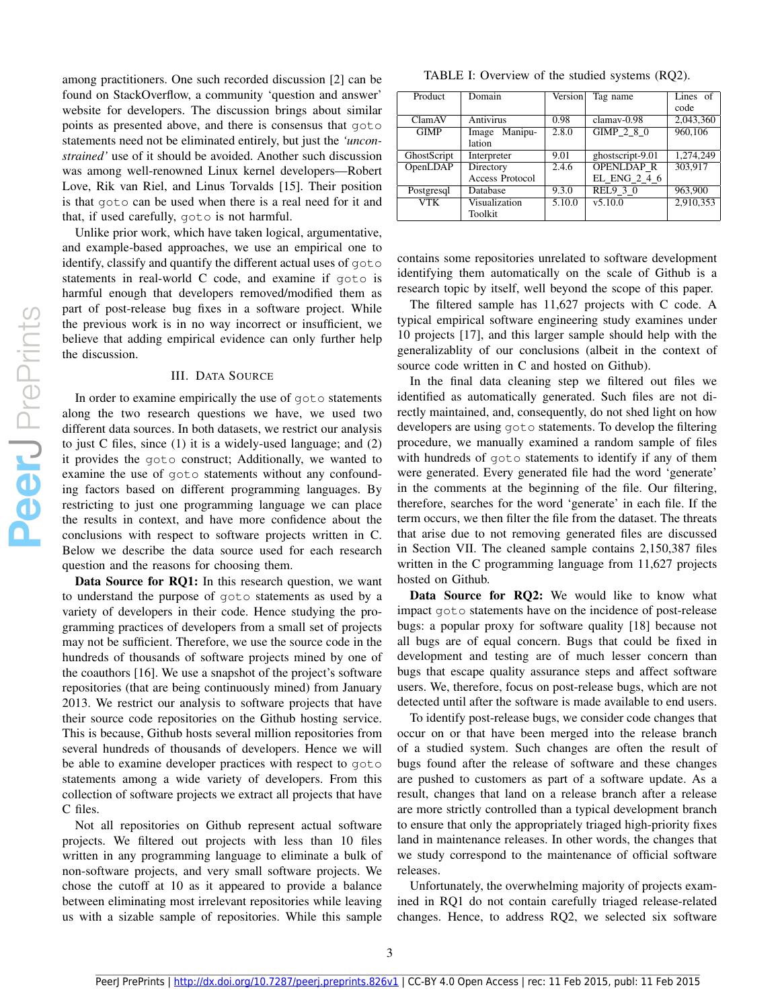among practitioners. One such recorded discussion [2] can be found on StackOverflow, a community 'question and answer' website for developers. The discussion brings about similar points as presented above, and there is consensus that goto statements need not be eliminated entirely, but just the *'unconstrained'* use of it should be avoided. Another such discussion was among well-renowned Linux kernel developers—Robert Love, Rik van Riel, and Linus Torvalds [15]. Their position is that goto can be used when there is a real need for it and that, if used carefully, goto is not harmful.

Unlike prior work, which have taken logical, argumentative, and example-based approaches, we use an empirical one to identify, classify and quantify the different actual uses of goto statements in real-world C code, and examine if goto is harmful enough that developers removed/modified them as part of post-release bug fixes in a software project. While the previous work is in no way incorrect or insufficient, we believe that adding empirical evidence can only further help the discussion.

#### III. DATA SOURCE

In order to examine empirically the use of goto statements along the two research questions we have, we used two different data sources. In both datasets, we restrict our analysis to just C files, since (1) it is a widely-used language; and (2) it provides the goto construct; Additionally, we wanted to examine the use of goto statements without any confounding factors based on different programming languages. By restricting to just one programming language we can place the results in context, and have more confidence about the conclusions with respect to software projects written in C. Below we describe the data source used for each research question and the reasons for choosing them.

Data Source for RQ1: In this research question, we want to understand the purpose of goto statements as used by a variety of developers in their code. Hence studying the programming practices of developers from a small set of projects may not be sufficient. Therefore, we use the source code in the hundreds of thousands of software projects mined by one of the coauthors [16]. We use a snapshot of the project's software repositories (that are being continuously mined) from January 2013. We restrict our analysis to software projects that have their source code repositories on the Github hosting service. This is because, Github hosts several million repositories from several hundreds of thousands of developers. Hence we will be able to examine developer practices with respect to goto statements among a wide variety of developers. From this collection of software projects we extract all projects that have C files.

Not all repositories on Github represent actual software projects. We filtered out projects with less than 10 files written in any programming language to eliminate a bulk of non-software projects, and very small software projects. We chose the cutoff at 10 as it appeared to provide a balance between eliminating most irrelevant repositories while leaving us with a sizable sample of repositories. While this sample

TABLE I: Overview of the studied systems (RQ2).

| Product     | Domain                 | Version | Tag name          | Lines of  |
|-------------|------------------------|---------|-------------------|-----------|
|             |                        |         |                   | code      |
| ClamAV      | Antivirus              | 0.98    | clamay-0.98       | 2,043,360 |
| <b>GIMP</b> | Manipu-<br>Image       | 2.8.0   | GIMP 2 8 0        | 960,106   |
|             | lation                 |         |                   |           |
| GhostScript | Interpreter            | 9.01    | ghostscript-9.01  | 1,274,249 |
| OpenLDAP    | Directory              |         | <b>OPENLDAP R</b> | 303,917   |
|             | <b>Access Protocol</b> |         | EL ENG 2 4 6      |           |
| Postgresql  | Database               | 9.3.0   | <b>REL9 30</b>    | 963,900   |
| <b>VTK</b>  | Visualization          | 5.10.0  | v5.10.0           | 2,910,353 |
|             | Toolkit                |         |                   |           |

contains some repositories unrelated to software development identifying them automatically on the scale of Github is a research topic by itself, well beyond the scope of this paper.

The filtered sample has 11,627 projects with C code. A typical empirical software engineering study examines under 10 projects [17], and this larger sample should help with the generalizablity of our conclusions (albeit in the context of source code written in C and hosted on Github).

In the final data cleaning step we filtered out files we identified as automatically generated. Such files are not directly maintained, and, consequently, do not shed light on how developers are using goto statements. To develop the filtering procedure, we manually examined a random sample of files with hundreds of goto statements to identify if any of them were generated. Every generated file had the word 'generate' in the comments at the beginning of the file. Our filtering, therefore, searches for the word 'generate' in each file. If the term occurs, we then filter the file from the dataset. The threats that arise due to not removing generated files are discussed in Section VII. The cleaned sample contains 2,150,387 files written in the C programming language from 11,627 projects hosted on Github.

Data Source for RQ2: We would like to know what impact goto statements have on the incidence of post-release bugs: a popular proxy for software quality [18] because not all bugs are of equal concern. Bugs that could be fixed in development and testing are of much lesser concern than bugs that escape quality assurance steps and affect software users. We, therefore, focus on post-release bugs, which are not detected until after the software is made available to end users.

To identify post-release bugs, we consider code changes that occur on or that have been merged into the release branch of a studied system. Such changes are often the result of bugs found after the release of software and these changes are pushed to customers as part of a software update. As a result, changes that land on a release branch after a release are more strictly controlled than a typical development branch to ensure that only the appropriately triaged high-priority fixes land in maintenance releases. In other words, the changes that we study correspond to the maintenance of official software releases.

Unfortunately, the overwhelming majority of projects examined in RQ1 do not contain carefully triaged release-related changes. Hence, to address RQ2, we selected six software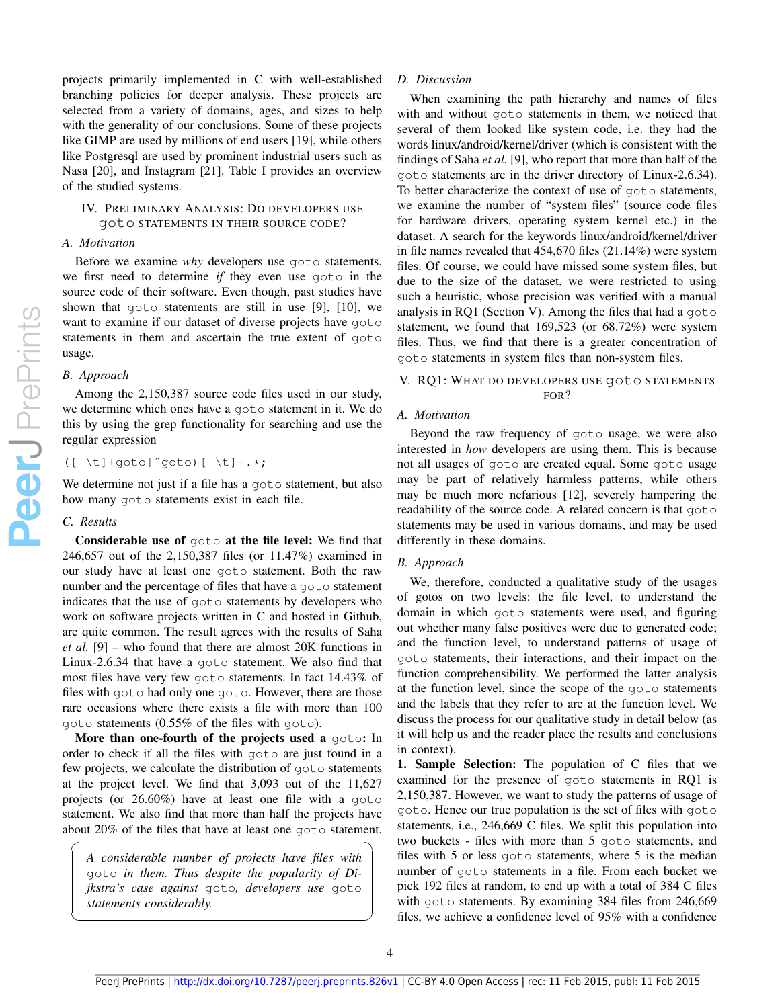projects primarily implemented in C with well-established branching policies for deeper analysis. These projects are selected from a variety of domains, ages, and sizes to help with the generality of our conclusions. Some of these projects like GIMP are used by millions of end users [19], while others like Postgresql are used by prominent industrial users such as Nasa [20], and Instagram [21]. Table I provides an overview of the studied systems.

# IV. PRELIMINARY ANALYSIS: DO DEVELOPERS USE goto STATEMENTS IN THEIR SOURCE CODE?

## *A. Motivation*

Before we examine *why* developers use goto statements, we first need to determine *if* they even use goto in the source code of their software. Even though, past studies have shown that goto statements are still in use [9], [10], we want to examine if our dataset of diverse projects have goto statements in them and ascertain the true extent of goto usage.

#### *B. Approach*

Among the 2,150,387 source code files used in our study, we determine which ones have a goto statement in it. We do this by using the grep functionality for searching and use the regular expression

# ([ \t]+goto|ˆgoto)[ \t]+.\*;

We determine not just if a file has a goto statement, but also how many goto statements exist in each file.

## *C. Results*

 $\overline{a}$ 

 $\searrow$ 

Considerable use of goto at the file level: We find that 246,657 out of the 2,150,387 files (or 11.47%) examined in our study have at least one goto statement. Both the raw number and the percentage of files that have a goto statement indicates that the use of goto statements by developers who work on software projects written in C and hosted in Github, are quite common. The result agrees with the results of Saha *et al.* [9] – who found that there are almost 20K functions in Linux-2.6.34 that have a goto statement. We also find that most files have very few goto statements. In fact 14.43% of files with goto had only one goto. However, there are those rare occasions where there exists a file with more than 100 goto statements (0.55% of the files with goto).

More than one-fourth of the projects used a goto: In order to check if all the files with goto are just found in a few projects, we calculate the distribution of goto statements at the project level. We find that 3,093 out of the 11,627 projects (or 26.60%) have at least one file with a goto statement. We also find that more than half the projects have about 20% of the files that have at least one goto statement.

*A considerable number of projects have files with* goto *in them. Thus despite the popularity of Dijkstra's case against* goto*, developers use* goto *statements considerably.*

#### *D. Discussion*

When examining the path hierarchy and names of files with and without  $qot$ o statements in them, we noticed that several of them looked like system code, i.e. they had the words linux/android/kernel/driver (which is consistent with the findings of Saha *et al.* [9], who report that more than half of the goto statements are in the driver directory of Linux-2.6.34). To better characterize the context of use of goto statements, we examine the number of "system files" (source code files for hardware drivers, operating system kernel etc.) in the dataset. A search for the keywords linux/android/kernel/driver in file names revealed that 454,670 files (21.14%) were system files. Of course, we could have missed some system files, but due to the size of the dataset, we were restricted to using such a heuristic, whose precision was verified with a manual analysis in  $RQ1$  (Section V). Among the files that had a  $qot$ statement, we found that 169,523 (or 68.72%) were system files. Thus, we find that there is a greater concentration of goto statements in system files than non-system files.

# V. RQ1: WHAT DO DEVELOPERS USE goto STATEMENTS FOR?

## *A. Motivation*

Beyond the raw frequency of goto usage, we were also interested in *how* developers are using them. This is because not all usages of goto are created equal. Some goto usage may be part of relatively harmless patterns, while others may be much more nefarious [12], severely hampering the readability of the source code. A related concern is that goto statements may be used in various domains, and may be used differently in these domains.

#### *B. Approach*

We, therefore, conducted a qualitative study of the usages of gotos on two levels: the file level, to understand the domain in which goto statements were used, and figuring out whether many false positives were due to generated code; and the function level, to understand patterns of usage of goto statements, their interactions, and their impact on the function comprehensibility. We performed the latter analysis at the function level, since the scope of the goto statements and the labels that they refer to are at the function level. We discuss the process for our qualitative study in detail below (as it will help us and the reader place the results and conclusions in context).

1. Sample Selection: The population of C files that we examined for the presence of goto statements in RQ1 is 2,150,387. However, we want to study the patterns of usage of goto. Hence our true population is the set of files with goto statements, i.e., 246,669 C files. We split this population into two buckets - files with more than 5 goto statements, and files with 5 or less goto statements, where 5 is the median number of goto statements in a file. From each bucket we pick 192 files at random, to end up with a total of 384 C files with goto statements. By examining 384 files from 246,669 files, we achieve a confidence level of 95% with a confidence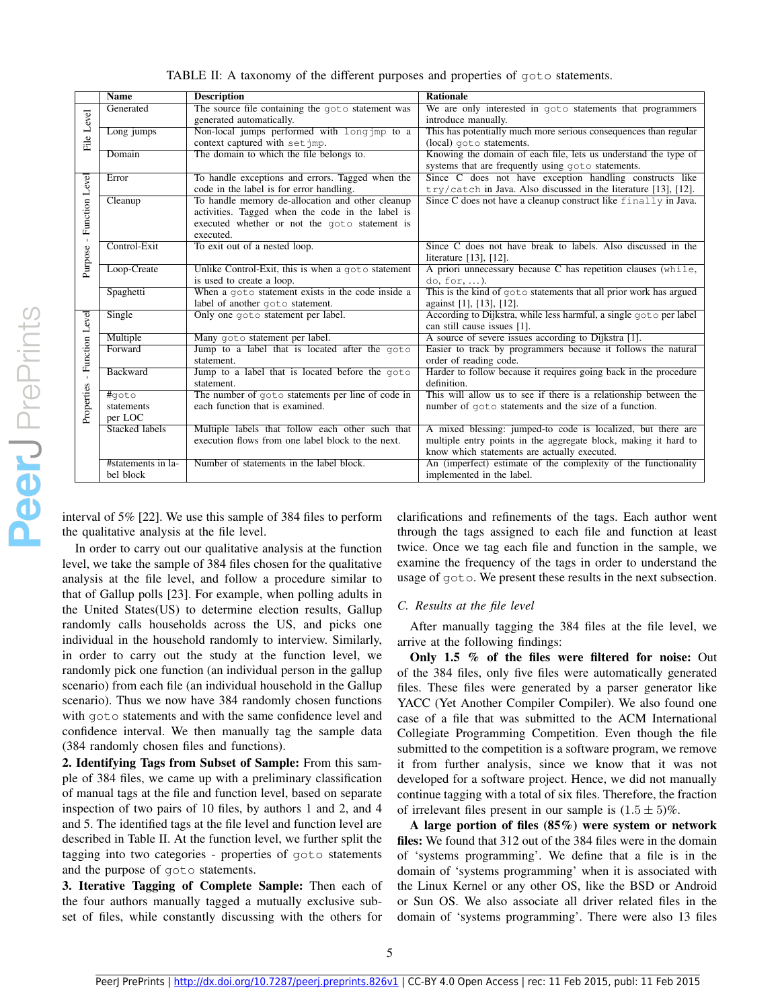|                | Generated          | The source file containing the goto statement was  | We are only interested in goto statements that programmers         |
|----------------|--------------------|----------------------------------------------------|--------------------------------------------------------------------|
|                |                    | generated automatically.                           | introduce manually.                                                |
| File Level     | Long jumps         | Non-local jumps performed with long imp to a       | This has potentially much more serious consequences than regular   |
|                |                    | context captured with set imp.                     | (local) goto statements.                                           |
|                | Domain             | The domain to which the file belongs to.           | Knowing the domain of each file, lets us understand the type of    |
|                |                    |                                                    | systems that are frequently using goto statements.                 |
| Function Level | Error              | To handle exceptions and errors. Tagged when the   | Since C does not have exception handling constructs like           |
|                |                    | code in the label is for error handling.           | try/catch in Java. Also discussed in the literature [13], [12].    |
|                | Cleanup            | To handle memory de-allocation and other cleanup   | Since C does not have a cleanup construct like $finally$ in Java.  |
|                |                    | activities. Tagged when the code in the label is   |                                                                    |
|                |                    | executed whether or not the goto statement is      |                                                                    |
| $\mathbf{1}$   |                    | executed.                                          |                                                                    |
| Purpose        | Control-Exit       | To exit out of a nested loop.                      | Since C does not have break to labels. Also discussed in the       |
|                |                    |                                                    | literature [13], [12].                                             |
|                | Loop-Create        | Unlike Control-Exit, this is when a goto statement | A priori unnecessary because C has repetition clauses (while,      |
|                |                    | is used to create a loop.                          | do, for, ).                                                        |
|                | Spaghetti          | When a goto statement exists in the code inside a  | This is the kind of goto statements that all prior work has argued |
|                |                    | label of another goto statement.                   | against [1], [13], [12].                                           |
| Level          | Single             | Only one goto statement per label.                 | According to Dijkstra, while less harmful, a single goto per label |
|                |                    |                                                    | can still cause issues [1].                                        |
|                | Multiple           | Many goto statement per label.                     | A source of severe issues according to Dijkstra [1].               |
| Function       | Forward            | Jump to a label that is located after the goto     | Easier to track by programmers because it follows the natural      |
|                |                    | statement.                                         | order of reading code.                                             |
| $\mathbf{r}$   | Backward           | Jump to a label that is located before the goto    | Harder to follow because it requires going back in the procedure   |
|                |                    | statement.                                         | definition.                                                        |
| Properties     | #qoto              | The number of goto statements per line of code in  | This will allow us to see if there is a relationship between the   |
|                | statements         | each function that is examined.                    | number of goto statements and the size of a function.              |
|                | per LOC            |                                                    |                                                                    |
|                | Stacked labels     | Multiple labels that follow each other such that   | A mixed blessing: jumped-to code is localized, but there are       |
|                |                    | execution flows from one label block to the next.  | multiple entry points in the aggregate block, making it hard to    |
|                |                    |                                                    | know which statements are actually executed.                       |
|                | #statements in la- | Number of statements in the label block.           | An (imperfect) estimate of the complexity of the functionality     |
|                | bel block          |                                                    | implemented in the label.                                          |

Name Bescription Rationale

TABLE II: A taxonomy of the different purposes and properties of goto statements.

interval of 5% [22]. We use this sample of 384 files to perform the qualitative analysis at the file level.

In order to carry out our qualitative analysis at the function level, we take the sample of 384 files chosen for the qualitative analysis at the file level, and follow a procedure similar to that of Gallup polls [23]. For example, when polling adults in the United States(US) to determine election results, Gallup randomly calls households across the US, and picks one individual in the household randomly to interview. Similarly, in order to carry out the study at the function level, we randomly pick one function (an individual person in the gallup scenario) from each file (an individual household in the Gallup scenario). Thus we now have 384 randomly chosen functions with goto statements and with the same confidence level and confidence interval. We then manually tag the sample data (384 randomly chosen files and functions).

2. Identifying Tags from Subset of Sample: From this sample of 384 files, we came up with a preliminary classification of manual tags at the file and function level, based on separate inspection of two pairs of 10 files, by authors 1 and 2, and 4 and 5. The identified tags at the file level and function level are described in Table II. At the function level, we further split the tagging into two categories - properties of goto statements and the purpose of goto statements.

3. Iterative Tagging of Complete Sample: Then each of the four authors manually tagged a mutually exclusive subset of files, while constantly discussing with the others for clarifications and refinements of the tags. Each author went through the tags assigned to each file and function at least twice. Once we tag each file and function in the sample, we examine the frequency of the tags in order to understand the usage of goto. We present these results in the next subsection.

## *C. Results at the file level*

After manually tagging the 384 files at the file level, we arrive at the following findings:

Only 1.5 % of the files were filtered for noise: Out of the 384 files, only five files were automatically generated files. These files were generated by a parser generator like YACC (Yet Another Compiler Compiler). We also found one case of a file that was submitted to the ACM International Collegiate Programming Competition. Even though the file submitted to the competition is a software program, we remove it from further analysis, since we know that it was not developed for a software project. Hence, we did not manually continue tagging with a total of six files. Therefore, the fraction of irrelevant files present in our sample is  $(1.5 \pm 5)\%$ .

A large portion of files (85%) were system or network files: We found that 312 out of the 384 files were in the domain of 'systems programming'. We define that a file is in the domain of 'systems programming' when it is associated with the Linux Kernel or any other OS, like the BSD or Android or Sun OS. We also associate all driver related files in the domain of 'systems programming'. There were also 13 files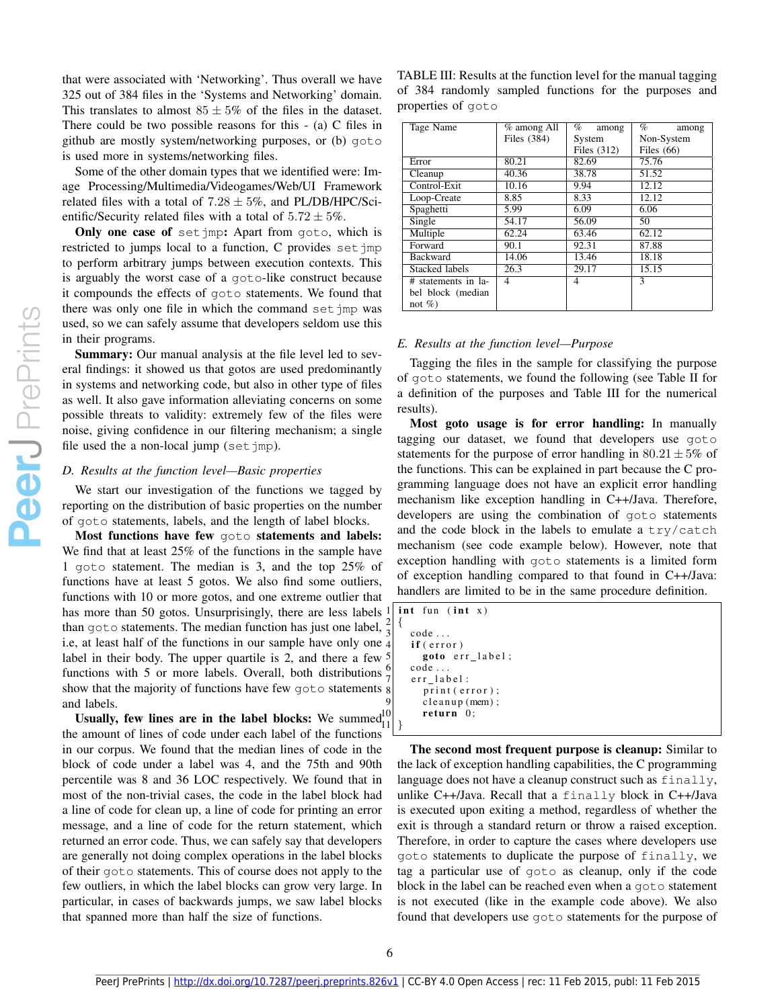that were associated with 'Networking'. Thus overall we have 325 out of 384 files in the 'Systems and Networking' domain. This translates to almost  $85 \pm 5\%$  of the files in the dataset. There could be two possible reasons for this  $-$  (a) C files in github are mostly system/networking purposes, or (b) goto is used more in systems/networking files.

Some of the other domain types that we identified were: Image Processing/Multimedia/Videogames/Web/UI Framework related files with a total of  $7.28 \pm 5\%$ , and PL/DB/HPC/Scientific/Security related files with a total of  $5.72 \pm 5\%$ .

Only one case of set imp: Apart from goto, which is restricted to jumps local to a function, C provides set  $\text{mp}$ to perform arbitrary jumps between execution contexts. This is arguably the worst case of a goto-like construct because it compounds the effects of goto statements. We found that there was only one file in which the command set jmp was used, so we can safely assume that developers seldom use this in their programs.

Summary: Our manual analysis at the file level led to several findings: it showed us that gotos are used predominantly in systems and networking code, but also in other type of files as well. It also gave information alleviating concerns on some possible threats to validity: extremely few of the files were noise, giving confidence in our filtering mechanism; a single file used the a non-local jump (set jmp).

## *D. Results at the function level—Basic properties*

We start our investigation of the functions we tagged by reporting on the distribution of basic properties on the number of goto statements, labels, and the length of label blocks.

Most functions have few goto statements and labels: We find that at least 25% of the functions in the sample have 1 goto statement. The median is 3, and the top 25% of functions have at least 5 gotos. We also find some outliers, functions with 10 or more gotos, and one extreme outlier that has more than 50 gotos. Unsurprisingly, there are less labels than goto statements. The median function has just one label, i.e, at least half of the functions in our sample have only one label in their body. The upper quartile is 2, and there a few functions with 5 or more labels. Overall, both distributions show that the majority of functions have few goto statements  $\frac{1}{8}$ and labels.

Usually, few lines are in the label blocks: We summed $\begin{bmatrix} 10 \\ 1 \end{bmatrix}$  return 0; the amount of lines of code under each label of the functions in our corpus. We found that the median lines of code in the block of code under a label was 4, and the 75th and 90th percentile was 8 and 36 LOC respectively. We found that in most of the non-trivial cases, the code in the label block had a line of code for clean up, a line of code for printing an error message, and a line of code for the return statement, which returned an error code. Thus, we can safely say that developers are generally not doing complex operations in the label blocks of their goto statements. This of course does not apply to the few outliers, in which the label blocks can grow very large. In particular, in cases of backwards jumps, we saw label blocks that spanned more than half the size of functions.  $11$  }

TABLE III: Results at the function level for the manual tagging of 384 randomly sampled functions for the purposes and properties of goto

| Tage Name           | % among All | %<br>among    | $\%$<br>among |  |
|---------------------|-------------|---------------|---------------|--|
|                     | Files (384) | System        | Non-System    |  |
|                     |             | Files $(312)$ | Files $(66)$  |  |
| Error               | 80.21       | 82.69         | 75.76         |  |
| Cleanup             | 40.36       | 38.78         | 51.52         |  |
| Control-Exit        | 10.16       | 9.94          | 12.12         |  |
| Loop-Create         | 8.85        | 8.33          | 12.12         |  |
| Spaghetti           | 5.99        | 6.09          | 6.06          |  |
| Single              | 54.17       | 56.09         | 50            |  |
| Multiple            | 62.24       | 63.46         | 62.12         |  |
| Forward             | 90.1        | 92.31         | 87.88         |  |
| <b>Backward</b>     | 14.06       | 13.46         | 18.18         |  |
| Stacked labels      | 26.3        | 29.17         | 15.15         |  |
| # statements in la- | 4           | 4             | 3             |  |
| bel block (median   |             |               |               |  |
| not $\%$ )          |             |               |               |  |

#### *E. Results at the function level—Purpose*

Tagging the files in the sample for classifying the purpose of goto statements, we found the following (see Table II for a definition of the purposes and Table III for the numerical results).

Most goto usage is for error handling: In manually tagging our dataset, we found that developers use goto statements for the purpose of error handling in  $80.21 \pm 5\%$  of the functions. This can be explained in part because the C programming language does not have an explicit error handling mechanism like exception handling in C++/Java. Therefore, developers are using the combination of goto statements and the code block in the labels to emulate a try/catch mechanism (see code example below). However, note that exception handling with goto statements is a limited form of exception handling compared to that found in C++/Java: handlers are limited to be in the same procedure definition.

|               | $1$ int fun (int x) |
|---------------|---------------------|
| $\frac{2}{3}$ |                     |
|               | $code \ldots$       |
| 4             | if (error)          |
| 5             | goto err_label;     |
| 6             | $code \ldots$       |
| 7             | $err_label:1$ :     |
| $\frac{1}{8}$ | print(error);       |
| 9             | cleanup(mem);       |
| 0             | return $0$ ;        |
| $\mathbf{1}$  |                     |

The second most frequent purpose is cleanup: Similar to the lack of exception handling capabilities, the C programming language does not have a cleanup construct such as  $\text{finally}$ , unlike C++/Java. Recall that a finally block in C++/Java is executed upon exiting a method, regardless of whether the exit is through a standard return or throw a raised exception. Therefore, in order to capture the cases where developers use goto statements to duplicate the purpose of finally, we tag a particular use of goto as cleanup, only if the code block in the label can be reached even when a goto statement is not executed (like in the example code above). We also found that developers use goto statements for the purpose of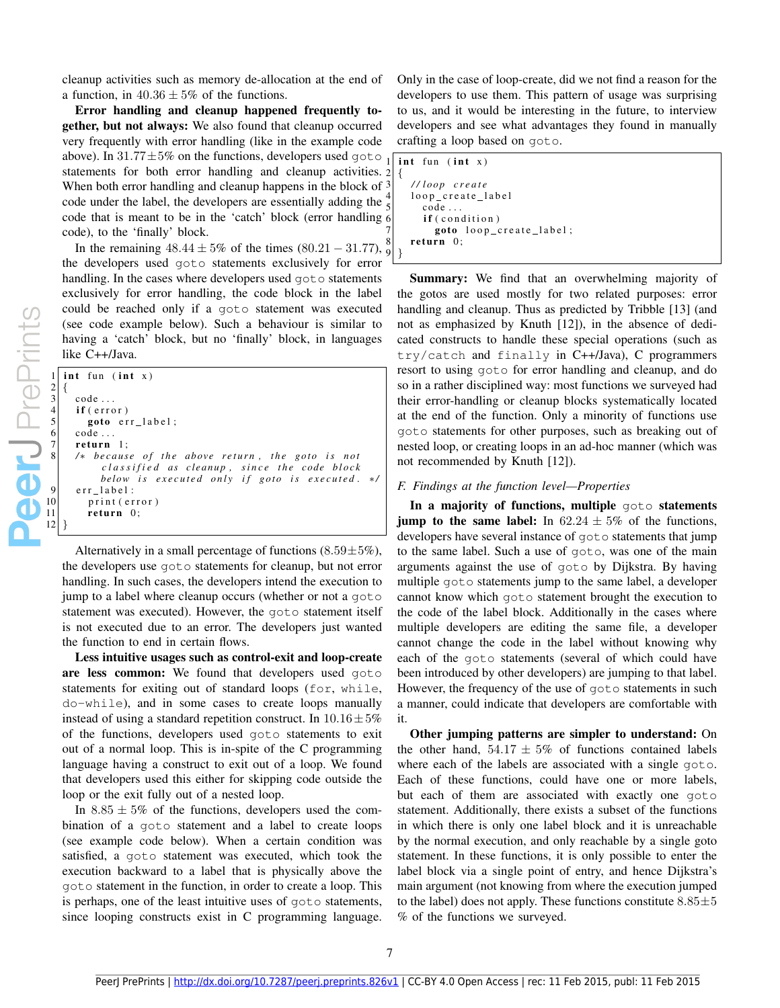cleanup activities such as memory de-allocation at the end of a function, in  $40.36 \pm 5\%$  of the functions.

Error handling and cleanup happened frequently together, but not always: We also found that cleanup occurred very frequently with error handling (like in the example code above). In  $31.77 \pm 5\%$  on the functions, developers used goto statements for both error handling and cleanup activities.  $2 \times 1$ When both error handling and cleanup happens in the block of 3 code under the label, the developers are essentially adding the  $\frac{1}{5}$ code that is meant to be in the 'catch' block (error handling code), to the 'finally' block.

In the remaining  $48.44 \pm 5\%$  of the times  $(80.21 - 31.77)$ ,  $\frac{8}{9}$ the developers used goto statements exclusively for error handling. In the cases where developers used goto statements exclusively for error handling, the code block in the label could be reached only if a goto statement was executed (see code example below). Such a behaviour is similar to having a 'catch' block, but no 'finally' block, in languages like C++/Java.

```
int fun (int x)
 2 \mid \{c o de . . .
       if (error)goto err_label;
       c o de . . .
      return 1:
         because of the above return, the goto is not
            classified as cleanup, since the code block
            below is executed only if goto is executed. */
\begin{array}{c|c} 9 & \text{err\_label}: \\ \hline 10 & \text{print (er)} \end{array}print (error)
11 return 0;
```
Alternatively in a small percentage of functions  $(8.59 \pm 5\%)$ , the developers use goto statements for cleanup, but not error handling. In such cases, the developers intend the execution to jump to a label where cleanup occurs (whether or not a goto statement was executed). However, the goto statement itself is not executed due to an error. The developers just wanted the function to end in certain flows.

Less intuitive usages such as control-exit and loop-create are less common: We found that developers used goto statements for exiting out of standard loops (for, while, do-while), and in some cases to create loops manually instead of using a standard repetition construct. In  $10.16 \pm 5\%$ of the functions, developers used goto statements to exit out of a normal loop. This is in-spite of the C programming language having a construct to exit out of a loop. We found that developers used this either for skipping code outside the loop or the exit fully out of a nested loop.

In  $8.85 \pm 5\%$  of the functions, developers used the combination of a goto statement and a label to create loops (see example code below). When a certain condition was satisfied, a goto statement was executed, which took the execution backward to a label that is physically above the goto statement in the function, in order to create a loop. This is perhaps, one of the least intuitive uses of goto statements, since looping constructs exist in C programming language. Only in the case of loop-create, did we not find a reason for the developers to use them. This pattern of usage was surprising to us, and it would be interesting in the future, to interview developers and see what advantages they found in manually crafting a loop based on goto.

 $int$  fun ( $int x$ ) 3 */ / l o o p c r e a t e*  $loop\_create\_label$ c o de . . . if (condition) goto loop\_create\_label;  $return 0;$ 9 }

Summary: We find that an overwhelming majority of the gotos are used mostly for two related purposes: error handling and cleanup. Thus as predicted by Tribble [13] (and not as emphasized by Knuth [12]), in the absence of dedicated constructs to handle these special operations (such as try/catch and finally in C++/Java), C programmers resort to using goto for error handling and cleanup, and do so in a rather disciplined way: most functions we surveyed had their error-handling or cleanup blocks systematically located at the end of the function. Only a minority of functions use goto statements for other purposes, such as breaking out of nested loop, or creating loops in an ad-hoc manner (which was not recommended by Knuth [12]).

#### *F. Findings at the function level—Properties*

In a majority of functions, multiple goto statements **jump to the same label:** In  $62.24 \pm 5\%$  of the functions, developers have several instance of goto statements that jump to the same label. Such a use of goto, was one of the main arguments against the use of goto by Dijkstra. By having multiple goto statements jump to the same label, a developer cannot know which goto statement brought the execution to the code of the label block. Additionally in the cases where multiple developers are editing the same file, a developer cannot change the code in the label without knowing why each of the goto statements (several of which could have been introduced by other developers) are jumping to that label. However, the frequency of the use of goto statements in such a manner, could indicate that developers are comfortable with it.

Other jumping patterns are simpler to understand: On the other hand,  $54.17 \pm 5\%$  of functions contained labels where each of the labels are associated with a single goto. Each of these functions, could have one or more labels, but each of them are associated with exactly one goto statement. Additionally, there exists a subset of the functions in which there is only one label block and it is unreachable by the normal execution, and only reachable by a single goto statement. In these functions, it is only possible to enter the label block via a single point of entry, and hence Dijkstra's main argument (not knowing from where the execution jumped to the label) does not apply. These functions constitute  $8.85 \pm 5$ % of the functions we surveyed.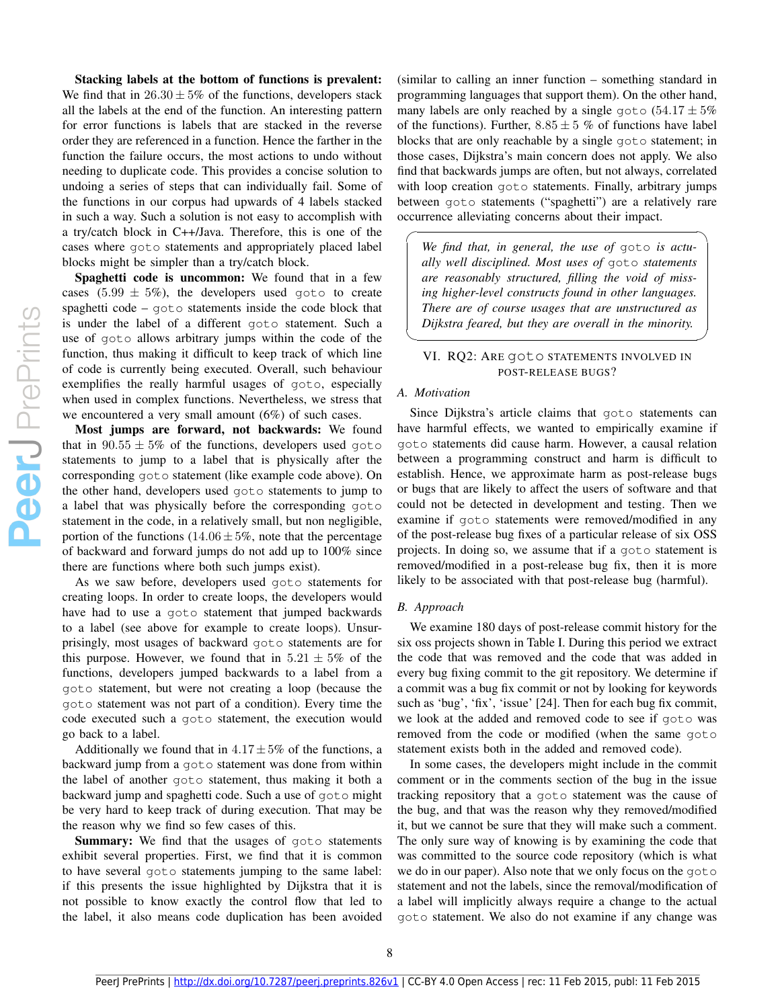Stacking labels at the bottom of functions is prevalent: We find that in  $26.30 \pm 5\%$  of the functions, developers stack all the labels at the end of the function. An interesting pattern for error functions is labels that are stacked in the reverse order they are referenced in a function. Hence the farther in the function the failure occurs, the most actions to undo without needing to duplicate code. This provides a concise solution to undoing a series of steps that can individually fail. Some of the functions in our corpus had upwards of 4 labels stacked in such a way. Such a solution is not easy to accomplish with a try/catch block in C++/Java. Therefore, this is one of the cases where goto statements and appropriately placed label blocks might be simpler than a try/catch block.

Spaghetti code is uncommon: We found that in a few cases  $(5.99 \pm 5\%)$ , the developers used goto to create spaghetti code – goto statements inside the code block that is under the label of a different goto statement. Such a use of goto allows arbitrary jumps within the code of the function, thus making it difficult to keep track of which line of code is currently being executed. Overall, such behaviour exemplifies the really harmful usages of goto, especially when used in complex functions. Nevertheless, we stress that we encountered a very small amount (6%) of such cases.

Most jumps are forward, not backwards: We found that in  $90.55 \pm 5\%$  of the functions, developers used goto statements to jump to a label that is physically after the corresponding goto statement (like example code above). On the other hand, developers used goto statements to jump to a label that was physically before the corresponding goto statement in the code, in a relatively small, but non negligible, portion of the functions  $(14.06 \pm 5\%)$ , note that the percentage of backward and forward jumps do not add up to 100% since there are functions where both such jumps exist).

As we saw before, developers used goto statements for creating loops. In order to create loops, the developers would have had to use a goto statement that jumped backwards to a label (see above for example to create loops). Unsurprisingly, most usages of backward goto statements are for this purpose. However, we found that in  $5.21 \pm 5\%$  of the functions, developers jumped backwards to a label from a goto statement, but were not creating a loop (because the goto statement was not part of a condition). Every time the code executed such a goto statement, the execution would go back to a label.

Additionally we found that in  $4.17 \pm 5\%$  of the functions, a backward jump from a goto statement was done from within the label of another goto statement, thus making it both a backward jump and spaghetti code. Such a use of goto might be very hard to keep track of during execution. That may be the reason why we find so few cases of this.

Summary: We find that the usages of goto statements exhibit several properties. First, we find that it is common to have several goto statements jumping to the same label: if this presents the issue highlighted by Dijkstra that it is not possible to know exactly the control flow that led to the label, it also means code duplication has been avoided

(similar to calling an inner function – something standard in programming languages that support them). On the other hand, many labels are only reached by a single goto  $(54.17 \pm 5\%)$ of the functions). Further,  $8.85 \pm 5$  % of functions have label blocks that are only reachable by a single goto statement; in those cases, Dijkstra's main concern does not apply. We also find that backwards jumps are often, but not always, correlated with loop creation goto statements. Finally, arbitrary jumps between goto statements ("spaghetti") are a relatively rare occurrence alleviating concerns about their impact.

*We find that, in general, the use of* goto *is actually well disciplined. Most uses of* goto *statements are reasonably structured, filling the void of missing higher-level constructs found in other languages. There are of course usages that are unstructured as Dijkstra feared, but they are overall in the minority.*

# VI. RQ2: ARE goto STATEMENTS INVOLVED IN POST-RELEASE BUGS?

# *A. Motivation*

 $\sqrt{2}$ 

✍

Since Dijkstra's article claims that goto statements can have harmful effects, we wanted to empirically examine if goto statements did cause harm. However, a causal relation between a programming construct and harm is difficult to establish. Hence, we approximate harm as post-release bugs or bugs that are likely to affect the users of software and that could not be detected in development and testing. Then we examine if goto statements were removed/modified in any of the post-release bug fixes of a particular release of six OSS projects. In doing so, we assume that if a goto statement is removed/modified in a post-release bug fix, then it is more likely to be associated with that post-release bug (harmful).

#### *B. Approach*

We examine 180 days of post-release commit history for the six oss projects shown in Table I. During this period we extract the code that was removed and the code that was added in every bug fixing commit to the git repository. We determine if a commit was a bug fix commit or not by looking for keywords such as 'bug', 'fix', 'issue' [24]. Then for each bug fix commit, we look at the added and removed code to see if goto was removed from the code or modified (when the same goto statement exists both in the added and removed code).

In some cases, the developers might include in the commit comment or in the comments section of the bug in the issue tracking repository that a goto statement was the cause of the bug, and that was the reason why they removed/modified it, but we cannot be sure that they will make such a comment. The only sure way of knowing is by examining the code that was committed to the source code repository (which is what we do in our paper). Also note that we only focus on the goto statement and not the labels, since the removal/modification of a label will implicitly always require a change to the actual goto statement. We also do not examine if any change was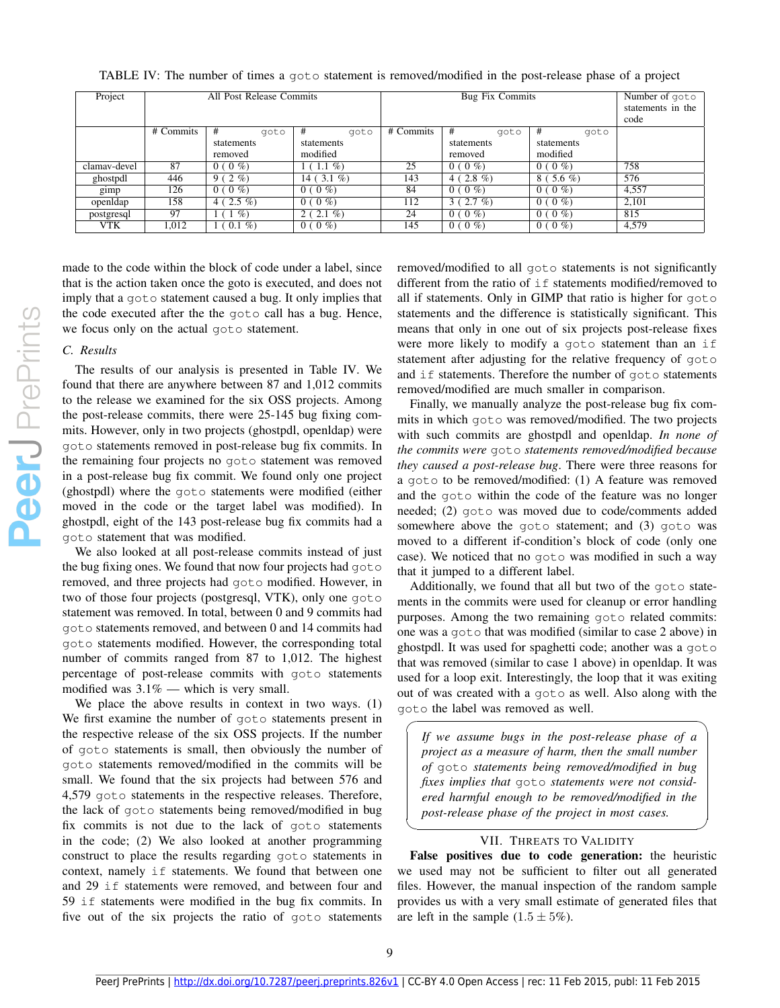| Project      | All Post Release Commits |            |                |           | Number of goto<br>statements in the<br>code |            |       |
|--------------|--------------------------|------------|----------------|-----------|---------------------------------------------|------------|-------|
|              | # Commits                | #<br>goto  | #<br>goto      | # Commits | #<br>goto                                   | #<br>goto  |       |
|              |                          | statements | statements     |           | statements                                  | statements |       |
|              |                          | removed    | modified       |           | removed                                     | modified   |       |
| clamay-devel | 87                       | $0(0\%)$   | $(1.1\%)$      | 25        | $0(0\%)$                                    | $0(0\%)$   | 758   |
| ghostpdl     | 446                      | 9(2%)      | 14 ( $3.1\%$ ) | 143       | 4 (2.8 $%$ )                                | $8(5.6\%)$ | 576   |
| gimp         | 126                      | $0(0\%)$   | $0(0\%)$       | 84        | $0(0\%)$                                    | $0(0\%)$   | 4,557 |
| openIdap     | 158                      | 4 (2.5 %)  | $0(0\%)$       | 112       | 3(2.7%)                                     | $0(0\%)$   | 2.101 |
| postgresql   | 97                       | $1(1\%)$   | $2(2.1\%)$     | 24        | $0(0\%)$                                    | $0(0\%)$   | 815   |
| <b>VTK</b>   | 1,012                    | $1(0.1\%)$ | $0(0\%)$       | 145       | $0(0\%)$                                    | $0(0\%)$   | 4,579 |

TABLE IV: The number of times a goto statement is removed/modified in the post-release phase of a project

made to the code within the block of code under a label, since that is the action taken once the goto is executed, and does not imply that a goto statement caused a bug. It only implies that the code executed after the the goto call has a bug. Hence, we focus only on the actual goto statement.

#### *C. Results*

The results of our analysis is presented in Table IV. We found that there are anywhere between 87 and 1,012 commits to the release we examined for the six OSS projects. Among the post-release commits, there were 25-145 bug fixing commits. However, only in two projects (ghostpdl, openldap) were goto statements removed in post-release bug fix commits. In the remaining four projects no goto statement was removed in a post-release bug fix commit. We found only one project (ghostpdl) where the goto statements were modified (either moved in the code or the target label was modified). In ghostpdl, eight of the 143 post-release bug fix commits had a goto statement that was modified.

We also looked at all post-release commits instead of just the bug fixing ones. We found that now four projects had goto removed, and three projects had goto modified. However, in two of those four projects (postgresql, VTK), only one goto statement was removed. In total, between 0 and 9 commits had goto statements removed, and between 0 and 14 commits had goto statements modified. However, the corresponding total number of commits ranged from 87 to 1,012. The highest percentage of post-release commits with goto statements modified was  $3.1\%$  — which is very small.

We place the above results in context in two ways. (1) We first examine the number of goto statements present in the respective release of the six OSS projects. If the number of goto statements is small, then obviously the number of goto statements removed/modified in the commits will be small. We found that the six projects had between 576 and 4,579 goto statements in the respective releases. Therefore, the lack of goto statements being removed/modified in bug fix commits is not due to the lack of goto statements in the code; (2) We also looked at another programming construct to place the results regarding goto statements in context, namely if statements. We found that between one and 29 if statements were removed, and between four and 59 if statements were modified in the bug fix commits. In five out of the six projects the ratio of goto statements removed/modified to all goto statements is not significantly different from the ratio of if statements modified/removed to all if statements. Only in GIMP that ratio is higher for goto statements and the difference is statistically significant. This means that only in one out of six projects post-release fixes were more likely to modify a goto statement than an if statement after adjusting for the relative frequency of goto and if statements. Therefore the number of goto statements removed/modified are much smaller in comparison.

Finally, we manually analyze the post-release bug fix commits in which goto was removed/modified. The two projects with such commits are ghostpdl and openldap. *In none of the commits were* goto *statements removed/modified because they caused a post-release bug*. There were three reasons for a goto to be removed/modified: (1) A feature was removed and the goto within the code of the feature was no longer needed; (2) goto was moved due to code/comments added somewhere above the goto statement; and (3) goto was moved to a different if-condition's block of code (only one case). We noticed that no goto was modified in such a way that it jumped to a different label.

Additionally, we found that all but two of the goto statements in the commits were used for cleanup or error handling purposes. Among the two remaining goto related commits: one was a goto that was modified (similar to case 2 above) in ghostpdl. It was used for spaghetti code; another was a goto that was removed (similar to case 1 above) in openldap. It was used for a loop exit. Interestingly, the loop that it was exiting out of was created with a goto as well. Also along with the goto the label was removed as well.

*If we assume bugs in the post-release phase of a project as a measure of harm, then the small number of* goto *statements being removed/modified in bug fixes implies that* goto *statements were not considered harmful enough to be removed/modified in the post-release phase of the project in most cases.*

## VII. THREATS TO VALIDITY

False positives due to code generation: the heuristic we used may not be sufficient to filter out all generated files. However, the manual inspection of the random sample provides us with a very small estimate of generated files that are left in the sample  $(1.5 \pm 5\%)$ .

 $\sqrt{2}$ 

✍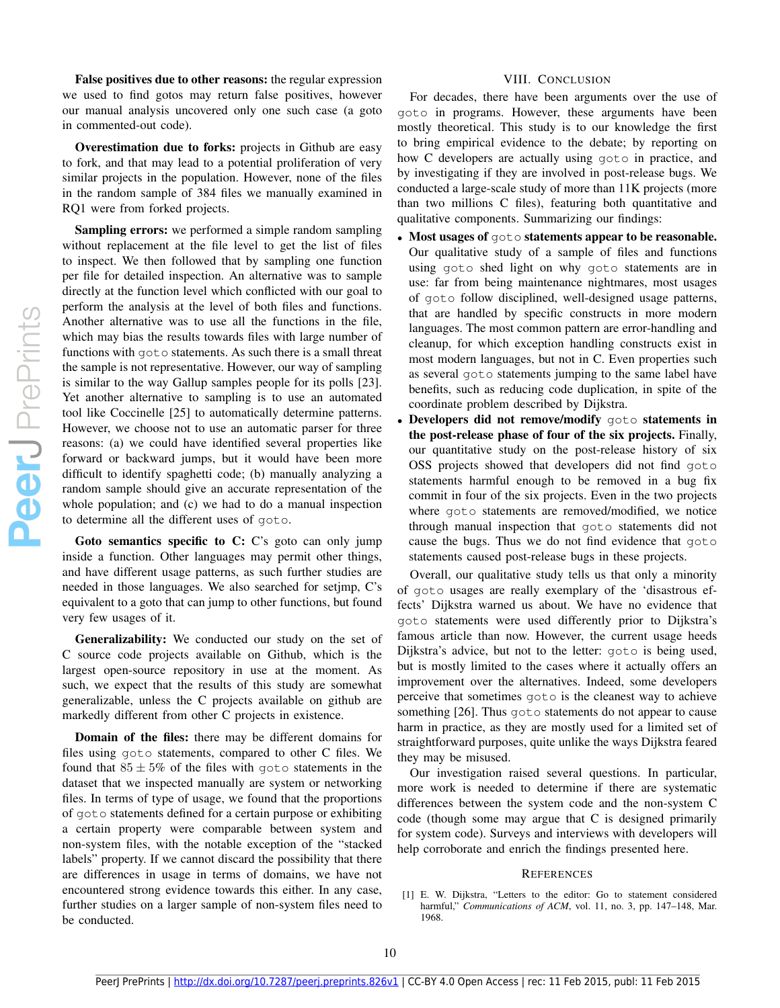False positives due to other reasons: the regular expression we used to find gotos may return false positives, however our manual analysis uncovered only one such case (a goto in commented-out code).

Overestimation due to forks: projects in Github are easy to fork, and that may lead to a potential proliferation of very similar projects in the population. However, none of the files in the random sample of 384 files we manually examined in RQ1 were from forked projects.

Sampling errors: we performed a simple random sampling without replacement at the file level to get the list of files to inspect. We then followed that by sampling one function per file for detailed inspection. An alternative was to sample directly at the function level which conflicted with our goal to perform the analysis at the level of both files and functions. Another alternative was to use all the functions in the file, which may bias the results towards files with large number of functions with goto statements. As such there is a small threat the sample is not representative. However, our way of sampling is similar to the way Gallup samples people for its polls [23]. Yet another alternative to sampling is to use an automated tool like Coccinelle [25] to automatically determine patterns. However, we choose not to use an automatic parser for three reasons: (a) we could have identified several properties like forward or backward jumps, but it would have been more difficult to identify spaghetti code; (b) manually analyzing a random sample should give an accurate representation of the whole population; and (c) we had to do a manual inspection to determine all the different uses of goto.

Goto semantics specific to  $C: C$ 's goto can only jump inside a function. Other languages may permit other things, and have different usage patterns, as such further studies are needed in those languages. We also searched for setjmp, C's equivalent to a goto that can jump to other functions, but found very few usages of it.

Generalizability: We conducted our study on the set of C source code projects available on Github, which is the largest open-source repository in use at the moment. As such, we expect that the results of this study are somewhat generalizable, unless the C projects available on github are markedly different from other C projects in existence.

Domain of the files: there may be different domains for files using goto statements, compared to other C files. We found that  $85 \pm 5\%$  of the files with goto statements in the dataset that we inspected manually are system or networking files. In terms of type of usage, we found that the proportions of goto statements defined for a certain purpose or exhibiting a certain property were comparable between system and non-system files, with the notable exception of the "stacked labels" property. If we cannot discard the possibility that there are differences in usage in terms of domains, we have not encountered strong evidence towards this either. In any case, further studies on a larger sample of non-system files need to be conducted.

#### VIII. CONCLUSION

For decades, there have been arguments over the use of goto in programs. However, these arguments have been mostly theoretical. This study is to our knowledge the first to bring empirical evidence to the debate; by reporting on how C developers are actually using goto in practice, and by investigating if they are involved in post-release bugs. We conducted a large-scale study of more than 11K projects (more than two millions C files), featuring both quantitative and qualitative components. Summarizing our findings:

- Most usages of goto statements appear to be reasonable. Our qualitative study of a sample of files and functions using goto shed light on why goto statements are in use: far from being maintenance nightmares, most usages of goto follow disciplined, well-designed usage patterns, that are handled by specific constructs in more modern languages. The most common pattern are error-handling and cleanup, for which exception handling constructs exist in most modern languages, but not in C. Even properties such as several goto statements jumping to the same label have benefits, such as reducing code duplication, in spite of the coordinate problem described by Dijkstra.
- Developers did not remove/modify goto statements in the post-release phase of four of the six projects. Finally, our quantitative study on the post-release history of six OSS projects showed that developers did not find goto statements harmful enough to be removed in a bug fix commit in four of the six projects. Even in the two projects where goto statements are removed/modified, we notice through manual inspection that goto statements did not cause the bugs. Thus we do not find evidence that goto statements caused post-release bugs in these projects.

Overall, our qualitative study tells us that only a minority of goto usages are really exemplary of the 'disastrous effects' Dijkstra warned us about. We have no evidence that goto statements were used differently prior to Dijkstra's famous article than now. However, the current usage heeds Dijkstra's advice, but not to the letter: goto is being used, but is mostly limited to the cases where it actually offers an improvement over the alternatives. Indeed, some developers perceive that sometimes goto is the cleanest way to achieve something [26]. Thus goto statements do not appear to cause harm in practice, as they are mostly used for a limited set of straightforward purposes, quite unlike the ways Dijkstra feared they may be misused.

Our investigation raised several questions. In particular, more work is needed to determine if there are systematic differences between the system code and the non-system C code (though some may argue that C is designed primarily for system code). Surveys and interviews with developers will help corroborate and enrich the findings presented here.

## **REFERENCES**

[1] E. W. Dijkstra, "Letters to the editor: Go to statement considered harmful," *Communications of ACM*, vol. 11, no. 3, pp. 147-148, Mar. 1968.